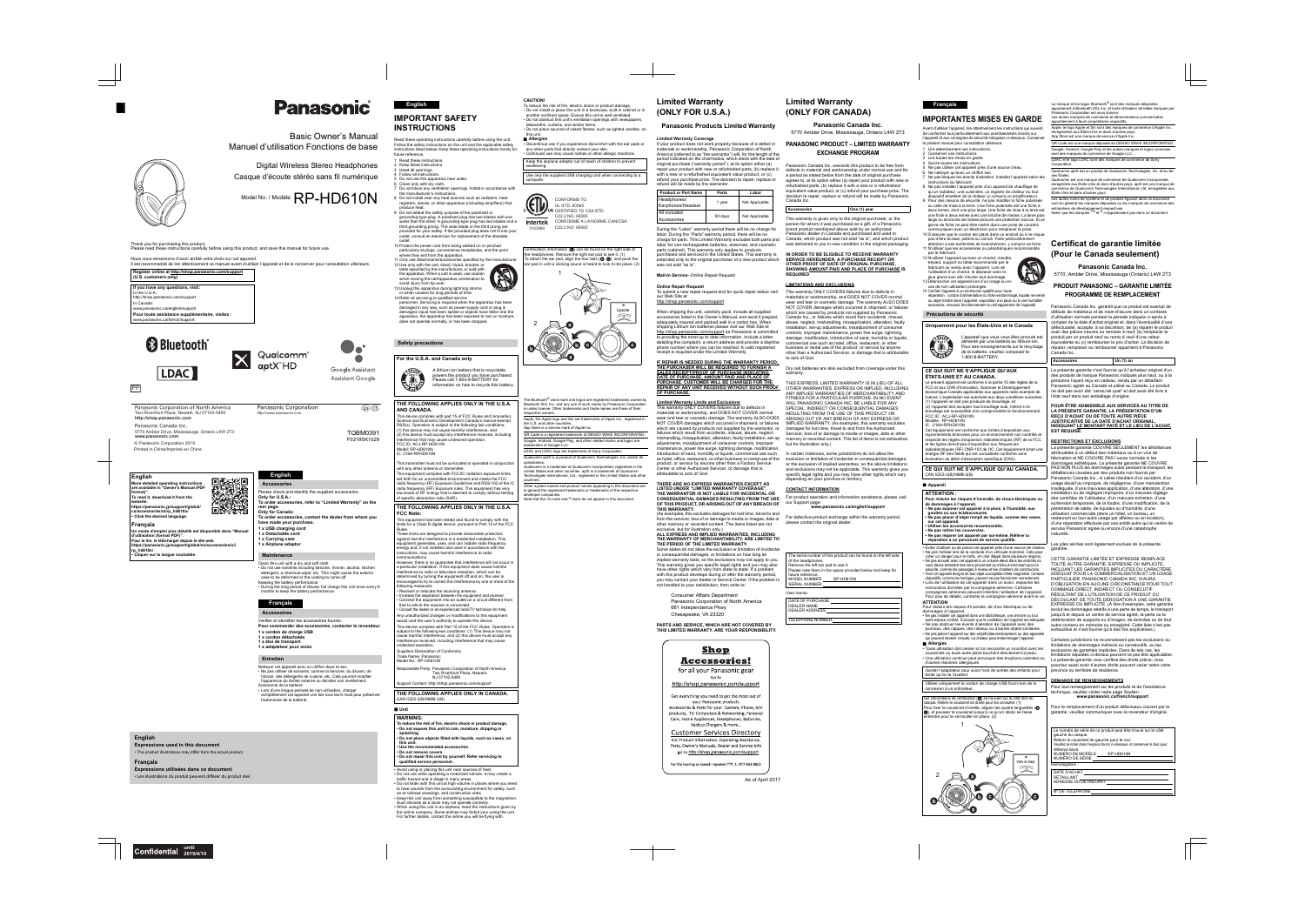Ltd., registered in the United States and other Other system names and product names appearing in this document are in general the registered trademarks or trademarks of the respective

During the "Labor" warranty period there will be no charge for labor. During the "Parts" warranty period, there will be no charge for parts. This Limited Warranty excludes both parts and Canada, which product was not sold "as is", and which product labor for non-rechargeable batteries, antennas, and cosmetic parts (cabinet). This warranty only applies to products purchased and serviced in the United States. This warranty is extended only to the original purchaser of a new product which **SERVICE HEREUNDER, A PURCHASE RECEIPT OR**  was not sold "as is"

(As examples, this excludes damages for lost time, travel to and (As examples, this excludes damages for lost time, travel to and From the servicer, loss of or damage to media or images, data or For defective product exchange within the warranty period,<br>other memory or recorded content. The items listed are not please contact the original dealer. other memory or recorded content. The items listed are not exclusive, but for illustration only.)

materials or workmanship, and DOES NOT COVER normal wear and tear or cosmetic damage. The warranty ALSO DOES NOT COVER damages which occurred in shipment, or failures which are caused by products not supplied by Panasonic Canada Inc., or failures which result from accidents, misuse, abuse, neglect, mishandling, misapplication, alteration, faulty installation, set-up adjustments, misadjustment of consumer controls, improper maintenance, power line surge, lightning damage, modification, introduction of sand, humidity or liquids, ommercial use such as hotel, office, restaurant, or other business or rental use of the product, or service by anyone other than a Authorized Servicer, or damage that is attributable to acts of God

as hotel, office, restaurant, or other business or rental use of the exclusion or limitation of incidental or consequential damages, or the exclusion of implied warranties, so the above limitations and exclusions may not be applicable. This warranty gives you specific legal rights and you may have other rights which vary depending on your province or territory.

> DEALER NAME \_\_\_\_<br>DEALER ADDRESS TELEPHONE NUMBER



The Bluetooth<sup>®</sup> word mark and logos are registered trademarks owned by<br>Bluetooth SIG, Inc. and any use of such marks by Panasonic Corporation lemarks and trade names are those of their

> Siri are trademarks of Apple Inc., registered in demark of DENSO WAVE INCORPORATED. 'lay, and other related marks and logos are

rademarks of Sony Corporation. ct of Qualcomm Technologies, Inc. and/or its of Qualcomm Incorporated, registered in the untries. aptX is a trademark of Qualcomm

# **Limited Warranty (ONLY FOR U.S.A.)**

# **Panasonic Products Limited Warranty**

**Limited Warranty Coverage** If your product does not work properly because of a defect in materials or workmanship, Panasonic Corporation of North America (referred to as "the warrantor") will, for the length of the period indicated on the chart below, which starts with the date of .<br>original purchase ("warranty period"), at its option either (a) repair your product with new or refurbished parts, (b) replace it with a new or a refurbished equivalent value product, or (c)

**Mail-In Service**--Online Repair Request

**Online Repair Request** To submit a new repair request and for quick repair status visit This warranty ONLY COVERS failures due to defects in our Web Site at

## http://shop.panasonic.com/support

When shipping the unit, carefully pack, include all supplied accessories listed in the Owner's Manual, and send it prepaid, adequately insured and packed well in a carton box. When shipping Lithium Ion batteries please visit our Web Site at http://shop.panasonic.com/support as Panasonic is committed to providing the most up to date information. Include a letter detailing the complaint, a return address and provide a daytime phone number where you can be reached. A valid registered receipt is required under the Limited Warranty.

**IF REPAIR IS NEEDED DURING THE WARRANTY PERIOD, THE PURCHASER WILL BE REQUIRED TO FURNISH A SALES RECEIPT/PROOF OF PURCHASE INDICATING DATE OF PURCHASE, AMOUNT PAID AND PLACE OF** 

> .<br>province ou territoire de résidence. **DEMANDE DE RENSEIGNEMENTS**

**PURCHASE. CUSTOMER WILL BE CHARGED FOR THE REPAIR OF ANY UNIT RECEIVED WITHOUT SUCH PROOF OF PURCHASE.**

#### **Limited Warranty Limits and Exclusions** This warranty ONLY COVERS failures due to defects in

**CE QUI SUIT NE S'APPLIQUE QU'AUX ÉTATS-UNIS ET AU CANADA.** présent appareil est conforme à la partie 15 des règles de la CC et aux CNR d'Innovation, Sciences et Développement économique Canada applicables aux appareils radio exempts de licence. L'exploitation est autorisée aux deux conditions suivante l'appareil ne doit pas produire de brouillage, et l'appareil doit accepter tout brouillage subi, même si le illage est susceptible d'en compromettre le fonctionneme CC ID : ACJ-RP-HD610N dèle : RP-HD610N

 IC : 216A-RPHD610N Cet équipement est conforme aux limites d'exposition aux vonnements énoncées pour un environnement non contrôlé et pecte les règles d'exposition radioélectriques (RF) de la FCC t les lignes directrices d'exposition aux fréquences oélectriques (RF) CNR-102 de l'IC. Cet équipement émet une

materials or workmanship, and DOES NOT COVER normal which are caused by products not supplied by the warrantor, or damages for lost time, travel to and from the Authorized failures which result from accidents, misuse, abuse, neglect, adjustments, misadjustment of consumer controls, improper maintenance, power line surge, lightning damage, modification introduction of sand, humidity or liquids, commercial use such In certain instances, some jurisdictions do not allow the product, or service by anyone other than a Factory Service Center or other Authorized Servicer, or damage that is

énergie RF très faible qui est considérée conforme sans ation du débit d'absorption spécifique (DAS). **CE QUI SUIT NE S'APPLIQUE QU'AU CANADA.**

attributable to acts of God.

### **THERE ARE NO EXPRESS WARRANTIES EXCEPT AS LISTED UNDER "LIMITED WARRANTY COVERAGE".**THE WARRANTOR IS NOT LIABLE FOR INCIDENTAL OR **THE WARRANTOR IS NOT LIABLE FOR INCIDENTAL OR CONSEQUENTIAL DAMAGES RESULTING FROM THE USE OF THIS PRODUCT, OR ARISING OUT OF ANY BREACH OF**  our Support page: **THIS WARRANTY.**

#### Les informations de certification (@) se trouvent sur le côté droit du casque. Retirer le coussinet de droite pour les consulter. (1) Pour fixer le coussinet d'oreille, aligner les quatre languettes ( $\odot$ , c), et pousser le coussinet jusqu'à ce qu'un déclic se fasse

#### **ALL EXPRESS AND IMPLIED WARRANTIES, INCLUDING THE WARRANTY OF MERCHANTABILITY, ARE LIMITED TO THE PERIOD OF THE LIMITED WARRANTY.**

La marque et les logos Bluetooth<sup>®</sup> sont des marques déposées appartenant à Bluetooth SIG, Inc. et toute utilisation de telles marques par Panasonic Corporation est sous licence. Les autres marques de commerce et dénominations commerciales appartiennent à leurs propriétaires respectifs. Apple, le logo Apple et Siri sont des marques de commerce d'Apple Inc. enregistrées aux États-Unis et dans d'autres pays. App Store est une marque de service d'Apple Inc. QR Code est une marque déposée de DENSO WAVE INCORPORATED Google, Android, Google Play et les autres marques et logos connexes sont des marques de commerce de Google LLC.

 Some states do not allow the exclusion or limitation of incidental or consequential damages, or limitations on how long an implied warranty lasts, so the exclusions may not apply to you. This warranty gives you specific legal rights and you may also have other rights which vary from state to state. If a problem with this product develops during or after the warranty period, you may contact your dealer or Service Center. If the problem is not handled to your satisfaction, then write to:

# Consumer Affairs Department

|                                                                                                                                                                                                                                                                                                                                                                                                                                                                                                                                                          | <b>Panasonic</b>                                                                                                                                                                                                                                                                                                                                                                                                                                                                                                                                                                                                                                                                     | <b>English</b><br><b>IMPORTANT SAFETY</b>                                                                                                                                                                                                                                                                                                                                                                                                                                                                                                                                                                                                                                                                                                                                                                                                                                                                                                                                                                                                                                                                                                                                                    | <b>CAUTION!</b><br>To reduce the risk of fire, electric shock or product damage,<br>• Do not install or place this unit in a bookcase, built-in cabinet of<br>another confined space. Ensure this unit is well ventilated.<br>• Do not obstruct this unit's ventilation openings with newspaper<br>tablecloths, curtains, and similar items.                                                                                                                                                                                                                                                                                         |
|----------------------------------------------------------------------------------------------------------------------------------------------------------------------------------------------------------------------------------------------------------------------------------------------------------------------------------------------------------------------------------------------------------------------------------------------------------------------------------------------------------------------------------------------------------|--------------------------------------------------------------------------------------------------------------------------------------------------------------------------------------------------------------------------------------------------------------------------------------------------------------------------------------------------------------------------------------------------------------------------------------------------------------------------------------------------------------------------------------------------------------------------------------------------------------------------------------------------------------------------------------|----------------------------------------------------------------------------------------------------------------------------------------------------------------------------------------------------------------------------------------------------------------------------------------------------------------------------------------------------------------------------------------------------------------------------------------------------------------------------------------------------------------------------------------------------------------------------------------------------------------------------------------------------------------------------------------------------------------------------------------------------------------------------------------------------------------------------------------------------------------------------------------------------------------------------------------------------------------------------------------------------------------------------------------------------------------------------------------------------------------------------------------------------------------------------------------------|--------------------------------------------------------------------------------------------------------------------------------------------------------------------------------------------------------------------------------------------------------------------------------------------------------------------------------------------------------------------------------------------------------------------------------------------------------------------------------------------------------------------------------------------------------------------------------------------------------------------------------------|
|                                                                                                                                                                                                                                                                                                                                                                                                                                                                                                                                                          | <b>Basic Owner's Manual</b><br>Manuel d'utilisation Fonctions de base                                                                                                                                                                                                                                                                                                                                                                                                                                                                                                                                                                                                                | <b>INSTRUCTIONS</b><br>Read these operating instructions carefully before using the unit.<br>Follow the safety instructions on the unit and the applicable safety<br>instructions listed below. Keep these operating instructions handy for                                                                                                                                                                                                                                                                                                                                                                                                                                                                                                                                                                                                                                                                                                                                                                                                                                                                                                                                                  | • Do not place sources of naked flames, such as lighted candles<br>this unit.<br>■ Allergies<br>• Discontinue use if you experience discomfort with the ear pads<br>any other parts that directly contact your skin.<br>• Continued use may cause rashes or other allergic reactions.                                                                                                                                                                                                                                                                                                                                                |
|                                                                                                                                                                                                                                                                                                                                                                                                                                                                                                                                                          | Digital Wireless Stereo Headphones<br>Casque d'écoute stéréo sans fil numérique                                                                                                                                                                                                                                                                                                                                                                                                                                                                                                                                                                                                      | future reference.<br>1 Read these instructions.<br>2 Keep these instructions.<br>3 Heed all warnings.<br>4 Follow all instructions.<br>5 Do not use this apparatus near water.                                                                                                                                                                                                                                                                                                                                                                                                                                                                                                                                                                                                                                                                                                                                                                                                                                                                                                                                                                                                               | Keep the airplane adaptor out of reach of children to prevent<br>swallowing.<br>Use only the supplied USB charging cord when connecting to<br>computer.                                                                                                                                                                                                                                                                                                                                                                                                                                                                              |
|                                                                                                                                                                                                                                                                                                                                                                                                                                                                                                                                                          | Model No. / Modèle RP-HD610N                                                                                                                                                                                                                                                                                                                                                                                                                                                                                                                                                                                                                                                         | 6 Clean only with dry cloth.<br>7 Do not block any ventilation openings. Install in accordance with<br>the manufacturer's instructions.<br>8 Do not install near any heat sources such as radiators, heat<br>registers, stoves, or other apparatus (including amplifiers) that<br>produce heat.<br>9 Do not defeat the safety purpose of the polarized or<br>grounding-type plug. A polarized plug has two blades with one<br>wider than the other. A grounding-type plug has two blades and a<br>third grounding prong. The wide blade or the third prong are<br>provided for your safety. If the provided plug does not fit into your                                                                                                                                                                                                                                                                                                                                                                                                                                                                                                                                                      | <b>CONFORMS TO</b><br><b>UL STD. 60065</b><br>US CERTIFIED TO CSA STD.<br>C22.2 NO. 60065<br>CONFORME À LA NORME CAN/CSA<br><b>Intertek</b><br>C22.2 NO. 60065<br>3123480                                                                                                                                                                                                                                                                                                                                                                                                                                                            |
| Thank you for purchasing this product.<br>Please read these instructions carefully before using this product, and save this manual for future use.<br>Nous vous remercions d'avoir arrêté votre choix sur cet appareil.<br>Il est recommandé de lire attentivement ce manuel avant d'utiliser l'appareil et de le conserver pour consultation ultérieure.<br>Register online at http://shop.panasonic.com/support<br>(U.S. customers only)                                                                                                               |                                                                                                                                                                                                                                                                                                                                                                                                                                                                                                                                                                                                                                                                                      | outlet, consult an electrician for replacement of the obsolete<br>outlet.<br>10 Protect the power cord from being walked on or pinched<br>particularly at plugs, convenience receptacles, and the point<br>where they exit from the apparatus.<br>11 Only use attachments/accessories specified by the manufacturer.<br>12 Use only with the cart, stand, tripod, bracket, or<br>table specified by the manufacturer, or sold with<br>the apparatus. When a cart is used, use caution<br>when moving the cart/apparatus combination to                                                                                                                                                                                                                                                                                                                                                                                                                                                                                                                                                                                                                                                       | Certification information $\textcircled{a}$ can be found on the right side of<br>the headphones. Remove the right ear pad to see it. (1)<br>To attach the ear pad, align the four tabs $(\bigcirc, \bigcirc)$ , and push the<br>ear pad in until a clicking sound is heard to lock it into place. (2)                                                                                                                                                                                                                                                                                                                                |
| If you have any questions, visit:<br>In the U.S.A.:<br>http://shop.panasonic.com/support<br>In Canada:<br>www.panasonic.ca/english/support<br>Pour toute assistance supplémentaire, visitez :<br>www.panasonic.ca/french/support                                                                                                                                                                                                                                                                                                                         |                                                                                                                                                                                                                                                                                                                                                                                                                                                                                                                                                                                                                                                                                      | avoid injury from tip-over.<br>13 Unplug this apparatus during lightning storms<br>or when unused for long periods of time.<br>14 Refer all servicing to qualified service<br>personnel. Servicing is required when the apparatus has been<br>damaged in any way, such as power-supply cord or plug is<br>damaged, liquid has been spilled or objects have fallen into the<br>apparatus, the apparatus has been exposed to rain or moisture,<br>does not operate normally, or has been dropped.                                                                                                                                                                                                                                                                                                                                                                                                                                                                                                                                                                                                                                                                                              |                                                                                                                                                                                                                                                                                                                                                                                                                                                                                                                                                                                                                                      |
| <b>8 Bluetooth</b> ®<br>LDAC ]                                                                                                                                                                                                                                                                                                                                                                                                                                                                                                                           | Qualcomm <sup>®</sup><br>aptX <sup>™</sup> HD<br>Google Assistant<br><b>Assistant Google</b>                                                                                                                                                                                                                                                                                                                                                                                                                                                                                                                                                                                         | <b>Safety precautions</b><br>For the U.S.A. and Canada only<br>A lithium ion battery that is recyclable<br>powers the product you have purchased.                                                                                                                                                                                                                                                                                                                                                                                                                                                                                                                                                                                                                                                                                                                                                                                                                                                                                                                                                                                                                                            |                                                                                                                                                                                                                                                                                                                                                                                                                                                                                                                                                                                                                                      |
| PP <br>Panasonic Corporation of North America<br>Two Riverfront Plaza, Newark, NJ 07102-5490<br>http://shop.panasonic.com<br>Panasonic Canada Inc.<br>5770 Ambler Drive, Mississauga, Ontario L4W 2T3<br>www.panasonic.com<br>© Panasonic Corporation 2019<br>Printed in China/Imprimé en Chine                                                                                                                                                                                                                                                          | $\binom{F}{F}$ $\binom{F}{F}$<br><b>Panasonic Corporation</b><br>http://www.panasonic.com<br><b>TQBM0391</b><br>F0219SK1029                                                                                                                                                                                                                                                                                                                                                                                                                                                                                                                                                          | Please call 1-800-8-BATTERY for<br>information on how to recycle this battery.<br>THE FOLLOWING APPLIES ONLY IN THE U.S.A.<br>AND CANADA.<br>This device complies with part 15 of FCC Rules and Innovation,<br>Science and Economic Development Canada's licence-exempt<br>RSS(s). Operation is subject to the following two conditions:<br>(1) this device may not cause harmful interference, and<br>(2) this device must accept any interference received, including<br>interference that may cause undesired operation.<br>FCC ID: ACJ-RP-HD610N<br>Model: RP-HD610N<br>IC: 216A-RPHD610N                                                                                                                                                                                                                                                                                                                                                                                                                                                                                                                                                                                                | The Bluetooth <sup>®</sup> word mark and logos are registered trademarks owne<br>Bluetooth SIG, Inc. and any use of such marks by Panasonic Corpora<br>is under license. Other trademarks and trade names are those of the<br>respective owners.<br>Apple, the Apple logo and Siri are trademarks of Apple Inc., registere<br>the U.S. and other countries.<br>App Store is a service mark of Apple Inc.<br>QR Code is a registered trademark of DENSO WAVE INCORPORAT<br>Google, Android, Google Play, and other related marks and logos are<br>trademarks of Google LLC.<br>LDAC and LDAC logo are trademarks of Sony Corporation. |
| <b>English</b><br>More detailed operating instructions<br>are available in "Owner's Manual (PDF<br>format)".<br>To read it, download it from the<br>website.<br>https://panasonic.jp/support/global/<br>cs/accessories/oi/rp_hd610n/<br>• Click the desired language.<br><b>Francais</b><br>Un mode d'emploi plus détaillé est disponible dans "Manuel<br>d'utilisation (format PDF)".<br>Pour le lire, le télécharger depuis le site web.<br>https://panasonic.jp/support/global/cs/accessories/oi/<br>rp hd610n/<br>· Cliquer sur la langue souhaitée. | <b>English</b><br>Accessories<br>Please check and identify the supplied accessories.<br>Only for U.S.A.:<br>To order accessories, refer to "Limited Warranty" on the<br>rear page.<br>Only for Canada:<br>To order accessories, contact the dealer from whom you<br>have made your purchase.<br>1 x USB charging cord<br>1 x Detachable cord<br>1 x Carrying case<br>1 x Airplane adaptor<br><b>Maintenance</b>                                                                                                                                                                                                                                                                      | This transmitter must not be co-located or operated in conjunction<br>with any other antenna or transmitter.<br>This equipment complies with FCC/IC radiation exposure limits<br>set forth for an uncontrolled environment and meets the FCC<br>radio frequency (RF) Exposure Guidelines and RSS-102 of the IC<br>radio frequency (RF) Exposure rules. This equipment has very<br>low levels of RF energy that is deemed to comply without testing<br>of specific absorption ratio (SAR).<br>THE FOLLOWING APPLIES ONLY IN THE U.S.A.<br><b>FCC Note:</b><br>This equipment has been tested and found to comply with the<br>limits for a Class B digital device, pursuant to Part 15 of the FCC<br>Rules.<br>These limits are designed to provide reasonable protection<br>against harmful interference in a residential installation. This<br>equipment generates, uses, and can radiate radio frequency<br>energy and, if not installed and used in accordance with the<br>instructions, may cause harmful interference to radio<br>communications.                                                                                                                                        | Qualcomm aptX is a product of Qualcomm Technologies, Inc. and/or<br>subsidiaries.<br>Qualcomm is a trademark of Qualcomm Incorporated, registered in tl<br>United States and other countries. aptX is a trademark of Qualcomm<br>Technologies International, Ltd., registered in the United States and o<br>countries.<br>Other system names and product names appearing in this document<br>in general the registered trademarks or trademarks of the respective<br>developer companies.<br>Note that the TM mark and ® mark do not appear in this document.                                                                        |
|                                                                                                                                                                                                                                                                                                                                                                                                                                                                                                                                                          | Clean this unit with a dry and soft cloth.<br>• Do not use solvents including benzine, thinner, alcohol, kitchen<br>detergent, a chemical wiper, etc. This might cause the exterior<br>case to be deformed or the coating to come off.<br>Keeping the battery performance<br>• During the long period of disuse, full charge this unit once every 6<br>months to keep the battery performance.<br><b>Français</b><br><b>Accessoires</b><br>Vérifier et identifier les accessoires fournis.<br>Pour commander des accessoires, contacter le revendeur.<br>1 x cordon de charge USB<br>1 x cordon détachable<br>1 x étui de transport<br>1 x adaptateur pour avion<br><b>Entretien</b> | However, there is no guarantee that interference will not occur in<br>a particular installation. If this equipment does cause harmful<br>interference to radio or television reception, which can be<br>determined by turning the equipment off and on, the user is<br>encouraged to try to correct the interference by one or more of the<br>following measures:<br>· Reorient or relocate the receiving antenna.<br>Increase the separation between the equipment and receiver.<br>Connect the equipment into an outlet on a circuit different from<br>that to which the receiver is connected.<br>Consult the dealer or an experienced radio/TV technician for help.<br>Any unauthorized changes or modifications to this equipment<br>would void the user's authority to operate this device.<br>This device complies with Part 15 of the FCC Rules. Operation is<br>subject to the following two conditions: (1) This device may not<br>cause harmful interference, and (2) this device must accept any<br>interference received, including interference that may cause<br>undesired operation.<br>Suppliers Declaration of Conformity<br>Trade Name: Panasonic<br>Model No.: RP-HD610N |                                                                                                                                                                                                                                                                                                                                                                                                                                                                                                                                                                                                                                      |
|                                                                                                                                                                                                                                                                                                                                                                                                                                                                                                                                                          | Nettoyer cet appareil avec un chiffon doux et sec.<br>• Ne pas utiliser de solvants, comme la benzine, du diluant, de<br>l'alcool, des détergents de cuisine, etc. Cela pourrait modifier<br>l'apparence du boîtier externe ou décoller son revêtement.<br>Autonomie de la batterie<br>• Lors d'une longue période de non-utilisation, charger<br>complètement cet appareil une fois tous les 6 mois pour préserver<br>l'autonomie de la batterie.                                                                                                                                                                                                                                   | Responsible Party: Panasonic Corporation of North America<br>Two Riverfront Plaza, Newark,<br>NJ 07102-5490<br>Support Contact: http://shop.panasonic.com/support<br>THE FOLLOWING APPLIES ONLY IN CANADA.<br>CAN ICES-3(B)/NMB-3(B)<br><b>Unit</b><br><b>WARNING:</b><br>To reduce the risk of fire, electric shock or product damage,                                                                                                                                                                                                                                                                                                                                                                                                                                                                                                                                                                                                                                                                                                                                                                                                                                                      |                                                                                                                                                                                                                                                                                                                                                                                                                                                                                                                                                                                                                                      |
| <b>English</b><br><b>Expressions used in this document</b><br>• The product illustrations may differ from the actual product.                                                                                                                                                                                                                                                                                                                                                                                                                            |                                                                                                                                                                                                                                                                                                                                                                                                                                                                                                                                                                                                                                                                                      | Do not expose this unit to rain, moisture, dripping or<br>splashing.<br>Do not place objects filled with liquids, such as vases, on<br>this unit.<br>Use the recommended accessories.<br>Do not remove covers.<br>Do not repair this unit by yourself. Refer servicing to                                                                                                                                                                                                                                                                                                                                                                                                                                                                                                                                                                                                                                                                                                                                                                                                                                                                                                                    |                                                                                                                                                                                                                                                                                                                                                                                                                                                                                                                                                                                                                                      |
| <b>Français</b><br>Expressions utilisées dans ce document<br>• Les illustrations du produit peuvent différer du produit réel.                                                                                                                                                                                                                                                                                                                                                                                                                            |                                                                                                                                                                                                                                                                                                                                                                                                                                                                                                                                                                                                                                                                                      | qualified service personnel.<br>• Avoid using or placing this unit near sources of heat.<br>. Do not use while operating a motorized vehicle. It may create a<br>traffic hazard and is illegal in many areas.<br>. Do not listen with this unit at high volume in places where you need<br>to hear sounds from the surrounding environment for safety, such<br>as at railroad crossings, and construction sites.<br>. Keep this unit away from something susceptible to the magnetism.<br>Such devices as a clock may not operate correctly.<br>. When using this unit in an airplane, heed the instructions given by<br>the airline company. Some airlines may forbid your using the unit.                                                                                                                                                                                                                                                                                                                                                                                                                                                                                                  |                                                                                                                                                                                                                                                                                                                                                                                                                                                                                                                                                                                                                                      |

electric shock or product damage, his unit in a bookcase, built-in cabinet or in Ensure this unit is well ventilated. t's ventilation openings with newspapers, d similar items. f naked flames, such as lighted candles, on

experience discomfort with the ear pads or ectly contact your skin. ise rashes or other allergic reactions.

SB charging cord when connecting to a

| refund will be made by the warrantor.<br><b>Product or Part Name</b><br>Labor<br>Parts |         |                |  |  |
|----------------------------------------------------------------------------------------|---------|----------------|--|--|
|                                                                                        |         |                |  |  |
| Headphones/                                                                            |         |                |  |  |
| Earphones/Headset                                                                      | 1 year  | Not Applicable |  |  |
| All included                                                                           |         |                |  |  |
| Accessories                                                                            | 90 days | Not Applicable |  |  |

Panasonic Corporation of North America 661 Independence Pkwy Chesapeake, VA 23320

#### **PARTS AND SERVICE, WHICH ARE NOT COVERED BY THIS LIMITED WARRANTY, ARE YOUR RESPONSIBILITY.**



go to http://shop.panasonic.com/support For the hearing or speech impaired TTY: 1-877-833-8855

As of April 2017

# **Limited Warranty (ONLY FOR CANADA)**

# **Panasonic Canada Inc.**

5770 Ambler Drive, Mississauga, Ontario L4W 2T3 **PANASONIC PRODUCT – LIMITED WARRANTY**

**EXCHANGE PROGRAM**

wear and tear or cosmetic damage. The warranty ALSO DOES ARISING OUT OF ANY BREACH OF ANY EXPRESS OR NOT COVER damages which occurred in shipment, or failures IMPLIED WARRANTY. (As examples, this warranty excludes mishandling, misapplication, alteration, faulty installation, set-up memory or recorded content. This list of items is not exhaustive, THIS EXPRESS, LIMITED WARRANTY IS IN LIEU OF ALL OTHER WARRANTIES, EXPRESS OR IMPLIED, INCLUDING ANY IMPLIED WARRANTIES OF MERCHANTABILITY AND FITNESS FOR A PARTICULAR PURPOSE. IN NO EVENT WILL PANASONIC CANADA INC. BE LIABLE FOR ANY SPECIAL, INDIRECT OR CONSEQUENTIAL DAMAGES RESULTING FROM THE USE OF THIS PRODUCT OR Servicer, loss of or damage to media or images, data or other but for illustration only.)

Panasonic Canada Inc. warrants this product to be free from defects in material and workmanship under normal use and for a period as stated below from the date of original purchase agrees to, at its option either (a) repair your product with new or refurbished parts, (b) replace it with a new or a refurbished equivalent value product, or (c) refund your purchase price. The decision to repair, replace or refund will be made by Panasonic Canada Inc.

This warranty is given only to the original purchaser, or the person for whom it was purchased as a gift, of a Panasonic brand product mentioned above sold by an authorized Panasonic dealer in Canada and purchased and used in was delivered to you in new condition in the original packaging.

**IN ORDER TO BE ELIGIBLE TO RECEIVE WARRANTY OTHER PROOF OF DATE OF ORIGINAL PURCHASE, SHOWING AMOUNT PAID AND PLACE OF PURCHASE IS REQUIRED**

### **LIMITATIONS AND EXCLUSIONS**

Dry cell batteries are also excluded from coverage under this warranty.

## **CONTACT INFORMATION**

 For product operation and information assistance, please visit **www.panasonic.ca/english/support**

**Accessories**

### **One (1) year**

| The serial number of this product can be found on the left side<br>of the headphones.<br>Remove the left ear pad to see it.<br>Please note them in the space provided below and keep for<br>future reference.<br><b>MODEL NUMBER</b><br>RP-HD610N<br><b>SERIAL NUMBER</b> |
|---------------------------------------------------------------------------------------------------------------------------------------------------------------------------------------------------------------------------------------------------------------------------|
| User memo:                                                                                                                                                                                                                                                                |
| DATE OF PURCHASE<br>DEALED NAME                                                                                                                                                                                                                                           |

# **IMPORTANTES MISES EN GARDE**Avant d'utiliser l'appareil, lire attentivement les instructions qui suivent.

Se conformer tout particulièrement aux avertissements inscrits sur l'appareil et aux consignes de sécurité indiquées ci-dessous. Conserver le présent manuel pour consultation ultérieure.

- 1 Lire attentivement ces instructions. 2 Conserver ces instructions.
- 3 Lire toutes les mises en garde. Suivre toutes les instructions.
- 5 Ne pas utiliser cet appareil près d'une source d'eau. 6 Ne nettoyer qu'avec un chiffon sec.
- 7 Ne pas bloquer les évents d'aération. Installer l'appareil selon les
- instructions du fabricant. 8 Ne pas installer l'appareil près d'un appareil de chauffage tel qu'un radiateur, une cuisinière, un registre de chaleur ou tout dispositif émettant de la chaleur (y compris un amplificateur). 9 Pour des raisons de sécurité, ne pas modifier la fiche polarisée
- ou celle de mise à la terre. Une fiche polarisée est une fiche à deux lames, dont une plus large. Une fiche de mise à la terre est une fiche à deux lames avec une broche de masse. La lame plus large ou la broche de masse procure une protection accrue. Si ce genre de fiche ne peut être inséré dans une prise de courant,
- communiquer avec un électricien pour remplacer la prise. 10 S'assurer que le cordon est placé dans un endroit où il ne risque pas d'être écrasé, piétiné ou coincé. Faire particulièrement attention à ses extrémités de branchement, y compris sa fiche. 11 N'utiliser que les accessoires ou périphériques recommandés
- par le fabricant. 12 N'utiliser l'appareil qu'avec un chariot, meuble, trépied, support ou table recommandé par le fabricant ou vendu avec l'appareil. Lors de
- l'utilisation d'un chariot, le déplacer avec le plus grand soin afin d'éviter tout dommage. 13 Débrancher cet appareil lors d'un orage ou en
- cas de non-utilisation prolongée. 14 Confier l'appareil à un technicien qualifié pour toute réparation : cordon d'alimentation ou fiche endommagé, liquide renversé ou objet tombé dans l'appareil, exposition à la pluie ou à une humidité excessive, mauvais fonctionnement ou échappement de l'appareil.

# ∫ **Appareil**

# **Certificat de garantie limitée (Pour le Canada seulement)**

**Panasonic Canada Inc.** 5770, Ambler Drive, Mississauga (Ontario) L4W 2T3

**PRODUIT PANASONIC – GARANTIE LIMITÉEPROGRAMME DE REMPLACEMENT**

Panasonic Canada Inc. garantit que ce produit est exempt de défauts de matériaux et de main-d'œuvre dans un contexte d'utilisation normale pendant la période indiquée ci-après à compter de la date d'achat original et, dans l'éventualité d'une défectuosité, accepte, à sa discrétion, de (a) réparer le produit avec des pièces neuves ou remises à neuf, (b) remplacer le produit par un produit neuf ou remis à neuf d'une valeur équivalente ou (c) rembourser le prix d'achat. La décision de réparer, remplacer ou rembourser appartient à Panasonic Canada Inc.

La présente garantie n'est fournie qu'à l'acheteur original d'un des produits de marque Panasonic indiqués plus haut, ou à la personne l'ayant reçu en cadeau, vendu par un détaillant Panasonic agréé au Canada et utilisé au Canada. Le produit ne doit pas avoir été "vendu tel quel" et doit avoir été livré à l'état neuf dans son emballage d'origine.

**POUR ÊTRE ADMISSIBLE AUX SERVICES AU TITRE DE LA PRÉSENTE GARANTIE, LA PRÉSENTATION D'UN REÇU D'ACHAT OU DE TOUTE AUTRE PIÈCE JUSTIFICATIVE DE LA DATE D'ACHAT ORIGINAL INDIQUANT LE MONTANT PAYÉ ET LE LIEU DE L'ACHAT, EST REQUISE.**

**RESTRICTIONS ET EXCLUSIONS**

La présente garantie COUVRE SEULEMENT les défaillances attribuables à un défaut des matériaux ou à un vice de fabrication et NE COUVRE PAS l'usure normale ni les dommages esthétiques. La présente garantie NE COUVRE PAS NON PLUS les dommages subis pendant le transport, les défaillances causées par des produits non fournis par Panasonic Canada Inc., ni celles résultant d'un accident, d'un usage abusif ou impropre, de négligence, d'une manutention inadéquate, d'une mauvaise application, d'une altération, d'une installation ou de réglages impropres, d'un mauvais réglage des contrôles de l'utilisateur, d'un mauvais entretien, d'une surtension temporaire, de la foudre, d'une modification, de la pénétration de sable, de liquides ou d'humidité, d'une utilisation commerciale (dans un hôtel, un bureau, un restaurant ou tout autre usage par affaires ou en location), d'une réparation effectuée par une entité autre qu'un centre de service Panasonic agréé ou encore d'une catastrophe

naturelle.

Les piles sèches sont également exclues de la présente

garantie.



CETTE GARANTIE LIMITÉE ET EXPRESSE REMPLACE TOUTE AUTRE GARANTIE, EXPRESSE OU IMPLICITE, INCLUANT LES GARANTIES IMPLICITES DU CARACTÈRE ADÉQUAT POUR LA COMMERCIALISATION ET UN USAGE PARTICULIER. PANASONIC CANADA INC. N'AURA D'OBLIGATION EN AUCUNE CIRCONSTANCE POUR TOUT DOMMAGE DIRECT, INDIRECT OU CONSÉCUTIF RÉSULTANT DE L'UTILISATION DE CE PRODUIT OU DÉCOULANT DE TOUTE DÉROGATION À UNE GARANTIE EXPRESSE OU IMPLICITE. (À titre d'exemples, cette garantie exclut les dommages relatifs à une perte de temps, le transport jusqu'à et depuis un centre de service agréé, la perte ou la autre contenu en mémoire ou enregistré. Cette liste n'est pas exhaustive et n'est fournie qu'à des fins explicatives.)

Certaines juridictions ne reconnaissent pas les exclusions ou limitations de dommages indirects ou consécutifs, ou les exclusions de garanties implicites. Dans de tels cas, les limitations stipulées ci-dessus peuvent ne pas être applicables. La présente garantie vous confère des droits précis; vous pourriez aussi avoir d'autres droits pouvant varier selon votre

Pour tout renseignement sur les produits et de l'assistance echnique, veuillez visiter notre page Soutien : **www.panasonic.ca/french/support**

Pour le remplacement d'un produit défectueux couvert par la garantie, veuillez communiquer avec le revendeur d'origine.

# **Français**

## **Précautions de sécurité**



# 1-800-8-BATTERY.

CAN ICES-3(B)/NMB-3(B)

- **ATTENTION :Pour réduire les risques d'incendie, de chocs électriques ou**
- **de dommages à l'appareil, • Ne pas exposer cet appareil à la pluie, à l'humidité, aux**
- **gouttes ou aux éclaboussures. • Ne pas placer d'objet rempli de liquide, comme des vases,**
- **sur cet appareil.**
- Utiliser les accessoires recommandes.<br>• Ne pas retirer les couvercles.<br>• Ne pas réparer cet appareil par soi-même. Référer la  **Utiliser les accessoires recommandés.**
- **réparation à un personnel de service qualifié.**
- Éviter d'utiliser ou de placer cet appareil près d'une source de chaleur. • Ne pas l'utiliser lors de la conduite d'un véhicule motorisé. Cela peut
- créer un danger pour le trafic, et c'est illégal dans plusieurs régions. Ne pas écouter avec cet appareil à un volume élevé dans les endroits où vous devez entendre des sons provenant du milieu environnant pour la
- sécurité, comme les passages à niveau et les chantiers de construction. • Tenir cet appareil éloigné de tout objet susceptible d'être magnétisé. Certains dispositifs, comme les horloges, peuvent ne pas fonctionner correctement.
- Lors de l'utilisation de cet appareil dans un avion, respecter les instructions données par la compagnie aérienne. Certaines compagnies aériennes peuvent interdire l'utilisation de l'appareil. Pour plus de détails, contacter la compagnie aérienne avant le vol.
- **ATTENTION**Pour réduire les risques d'incendie, de choc électrique ou de
- dommages à l'appareil, Ne pas installer cet appareil dans une bibliothèque, une armoire ou tout autre espace confiné. S'assurer que la ventilation de l'appareil est adéquate. détérioration de supports ou d'images, de données ou de tout • Ne pas obstruer les évents d'aération de l'appareil avec des journaux, des nappes, des rideaux ou d'autres objets similaires. • Ne pas placer l'appareil sur des amplificateurs/récepteurs ou des appareils
- qui peuvent devenir chauds. La chaleur peut endommager l'appareil. ∫ **Allergies** • Toute utilisation doit cesser si l'on rencontre un inconfort avec les coussinets ou toute autre pièce touchant directement la peau. • Une utilisation continue peut provoquer des éruptions cutanées ou d'autres réactions allergiques.
- Garder l'adaptateur pour avion hors de portée des enfants pour viter qu'ils ne l'avalen
- Utiliser uniquement le cordon de charge USB fourni lors de la connexion à un ordinateur.



LDAC et le logo LDAC sont des marques de commerce de Sony Corporation. Qualcomm aptX est un produit de Qualcomm Technologies, Inc. et/ou de ses filiales.Qualcomm est une marque de commerce de Qualcomm Incorporated,

enregistrée aux États-Unis et dans d'autres pays. aptX est une marque de

entreprises de développement respectives.<br>Noter que les marques <sup>TM</sup> et ® n'apparaissent pas dans ce document.

commerce de Qualcomm Technologies International, Ltd, enregistrée aux États-Unis et dans d'autres pays. Les autres noms de système et de produits figurant dans ce document sont en général les marques déposées ou les marques de commerce des

**Accessoires**

# **Un (1) an**

Le numéro de série de ce produit peut être trouvé sur le côté

Retirer le coussinet de gauche pour le voir.

NUMÉRO DE MODÈLE \_\_\_\_\_\_\_RP-HD610N

omologation

Veuillez le noter dans l'espace fourni ci-dessous, et conserver le tout pour

référence future.

auche du casque

NUMÉRO DE SÉRIE

DATE D'ACHAT DÉTAILLANT

 ADRESSE DU DÉTAILLANT Nº DE TÉLÉPHONE